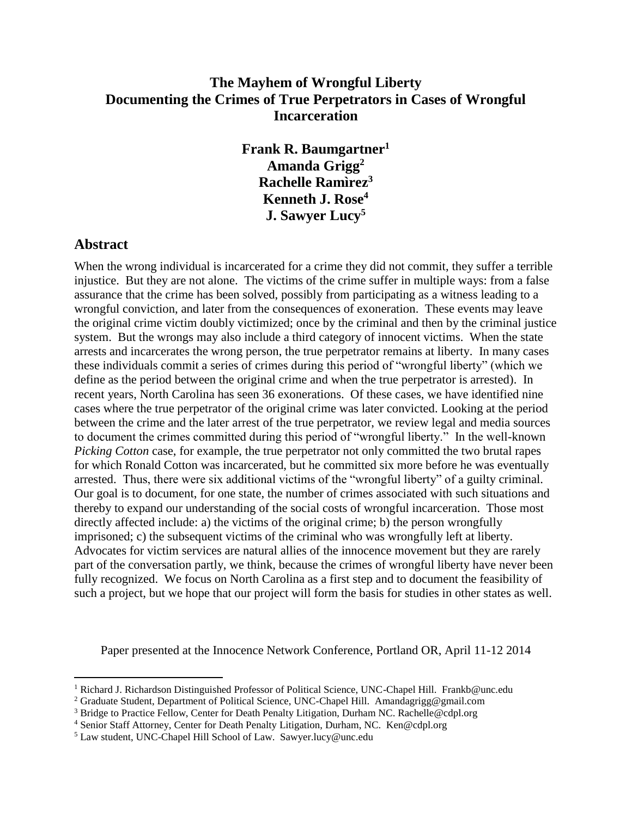# **The Mayhem of Wrongful Liberty Documenting the Crimes of True Perpetrators in Cases of Wrongful Incarceration**

**Frank R. Baumgartner<sup>1</sup> Amanda Grigg<sup>2</sup> Rachelle Ramìrez<sup>3</sup> Kenneth J. Rose<sup>4</sup> J. Sawyer Lucy<sup>5</sup>**

# **Abstract**

 $\overline{a}$ 

When the wrong individual is incarcerated for a crime they did not commit, they suffer a terrible injustice. But they are not alone. The victims of the crime suffer in multiple ways: from a false assurance that the crime has been solved, possibly from participating as a witness leading to a wrongful conviction, and later from the consequences of exoneration. These events may leave the original crime victim doubly victimized; once by the criminal and then by the criminal justice system. But the wrongs may also include a third category of innocent victims. When the state arrests and incarcerates the wrong person, the true perpetrator remains at liberty. In many cases these individuals commit a series of crimes during this period of "wrongful liberty" (which we define as the period between the original crime and when the true perpetrator is arrested). In recent years, North Carolina has seen 36 exonerations. Of these cases, we have identified nine cases where the true perpetrator of the original crime was later convicted. Looking at the period between the crime and the later arrest of the true perpetrator, we review legal and media sources to document the crimes committed during this period of "wrongful liberty." In the well-known *Picking Cotton* case, for example, the true perpetrator not only committed the two brutal rapes for which Ronald Cotton was incarcerated, but he committed six more before he was eventually arrested. Thus, there were six additional victims of the "wrongful liberty" of a guilty criminal. Our goal is to document, for one state, the number of crimes associated with such situations and thereby to expand our understanding of the social costs of wrongful incarceration. Those most directly affected include: a) the victims of the original crime; b) the person wrongfully imprisoned; c) the subsequent victims of the criminal who was wrongfully left at liberty. Advocates for victim services are natural allies of the innocence movement but they are rarely part of the conversation partly, we think, because the crimes of wrongful liberty have never been fully recognized. We focus on North Carolina as a first step and to document the feasibility of such a project, but we hope that our project will form the basis for studies in other states as well.

Paper presented at the Innocence Network Conference, Portland OR, April 11-12 2014

<sup>1</sup> Richard J. Richardson Distinguished Professor of Political Science, UNC-Chapel Hill. Frankb@unc.edu

<sup>&</sup>lt;sup>2</sup> Graduate Student, Department of Political Science, UNC-Chapel Hill. Amandagrigg@gmail.com

<sup>&</sup>lt;sup>3</sup> Bridge to Practice Fellow, Center for Death Penalty Litigation, Durham NC. Rachelle@cdpl.org

<sup>4</sup> Senior Staff Attorney, Center for Death Penalty Litigation, Durham, NC. Ken@cdpl.org

<sup>5</sup> Law student, UNC-Chapel Hill School of Law. Sawyer.lucy@unc.edu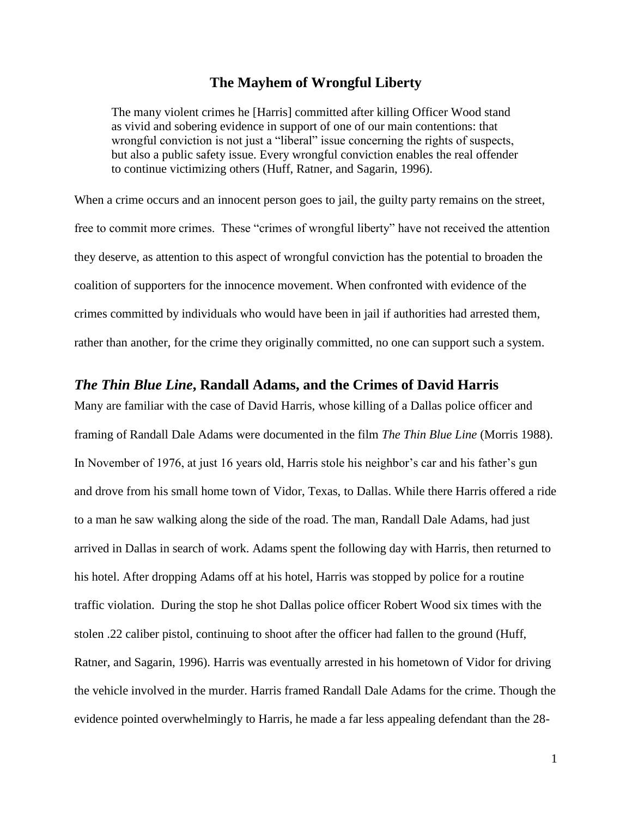#### **The Mayhem of Wrongful Liberty**

The many violent crimes he [Harris] committed after killing Officer Wood stand as vivid and sobering evidence in support of one of our main contentions: that wrongful conviction is not just a "liberal" issue concerning the rights of suspects, but also a public safety issue. Every wrongful conviction enables the real offender to continue victimizing others (Huff, Ratner, and Sagarin, 1996).

When a crime occurs and an innocent person goes to jail, the guilty party remains on the street, free to commit more crimes. These "crimes of wrongful liberty" have not received the attention they deserve, as attention to this aspect of wrongful conviction has the potential to broaden the coalition of supporters for the innocence movement. When confronted with evidence of the crimes committed by individuals who would have been in jail if authorities had arrested them, rather than another, for the crime they originally committed, no one can support such a system.

#### *The Thin Blue Line***, Randall Adams, and the Crimes of David Harris**

Many are familiar with the case of David Harris, whose killing of a Dallas police officer and framing of Randall Dale Adams were documented in the film *The Thin Blue Line* (Morris 1988). In November of 1976, at just 16 years old, Harris stole his neighbor's car and his father's gun and drove from his small home town of Vidor, Texas, to Dallas. While there Harris offered a ride to a man he saw walking along the side of the road. The man, Randall Dale Adams, had just arrived in Dallas in search of work. Adams spent the following day with Harris, then returned to his hotel. After dropping Adams off at his hotel, Harris was stopped by police for a routine traffic violation. During the stop he shot Dallas police officer Robert Wood six times with the stolen .22 caliber pistol, continuing to shoot after the officer had fallen to the ground (Huff, Ratner, and Sagarin, 1996). Harris was eventually arrested in his hometown of Vidor for driving the vehicle involved in the murder. Harris framed Randall Dale Adams for the crime. Though the evidence pointed overwhelmingly to Harris, he made a far less appealing defendant than the 28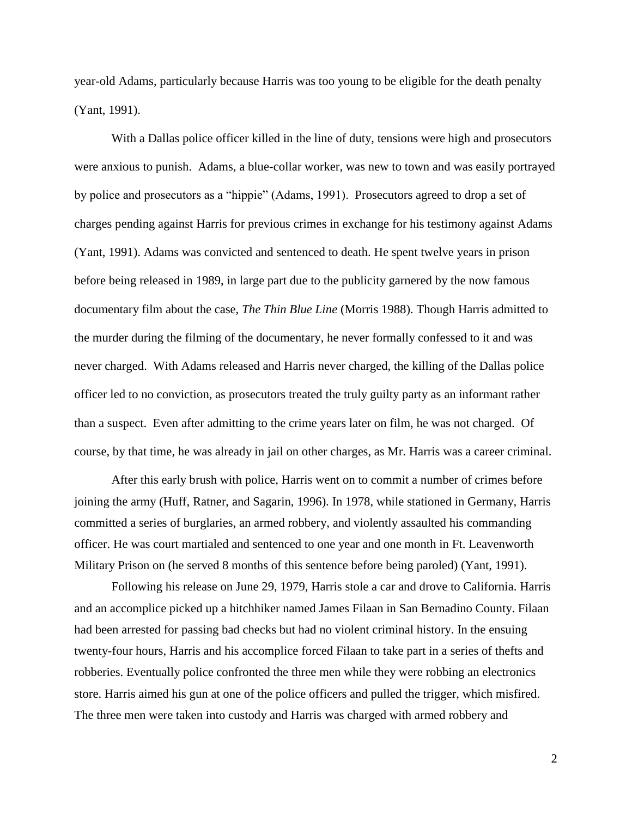year-old Adams, particularly because Harris was too young to be eligible for the death penalty (Yant, 1991).

With a Dallas police officer killed in the line of duty, tensions were high and prosecutors were anxious to punish. Adams, a blue-collar worker, was new to town and was easily portrayed by police and prosecutors as a "hippie" (Adams, 1991). Prosecutors agreed to drop a set of charges pending against Harris for previous crimes in exchange for his testimony against Adams (Yant, 1991). Adams was convicted and sentenced to death. He spent twelve years in prison before being released in 1989, in large part due to the publicity garnered by the now famous documentary film about the case, *The Thin Blue Line* (Morris 1988). Though Harris admitted to the murder during the filming of the documentary, he never formally confessed to it and was never charged. With Adams released and Harris never charged, the killing of the Dallas police officer led to no conviction, as prosecutors treated the truly guilty party as an informant rather than a suspect. Even after admitting to the crime years later on film, he was not charged. Of course, by that time, he was already in jail on other charges, as Mr. Harris was a career criminal.

After this early brush with police, Harris went on to commit a number of crimes before joining the army (Huff, Ratner, and Sagarin, 1996). In 1978, while stationed in Germany, Harris committed a series of burglaries, an armed robbery, and violently assaulted his commanding officer. He was court martialed and sentenced to one year and one month in Ft. Leavenworth Military Prison on (he served 8 months of this sentence before being paroled) (Yant, 1991).

Following his release on June 29, 1979, Harris stole a car and drove to California. Harris and an accomplice picked up a hitchhiker named James Filaan in San Bernadino County. Filaan had been arrested for passing bad checks but had no violent criminal history. In the ensuing twenty-four hours, Harris and his accomplice forced Filaan to take part in a series of thefts and robberies. Eventually police confronted the three men while they were robbing an electronics store. Harris aimed his gun at one of the police officers and pulled the trigger, which misfired. The three men were taken into custody and Harris was charged with armed robbery and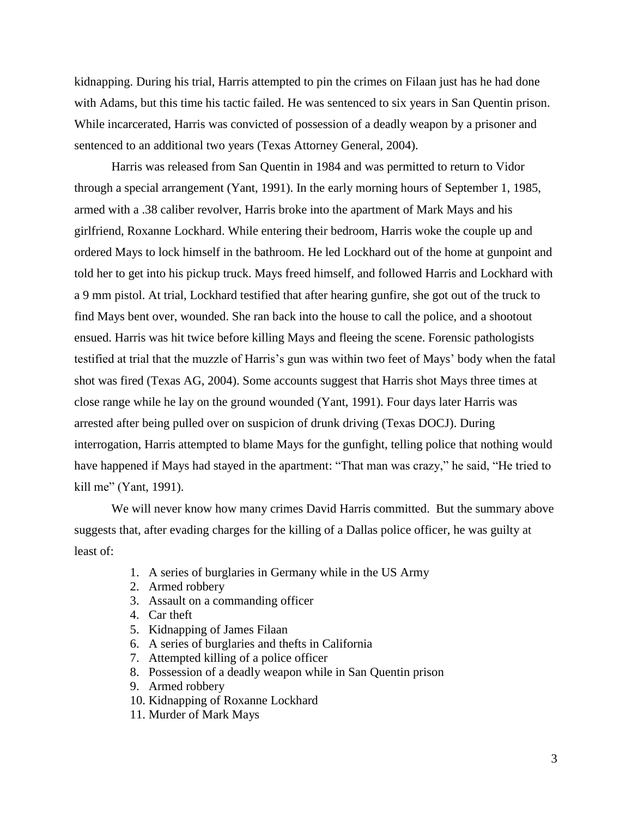kidnapping. During his trial, Harris attempted to pin the crimes on Filaan just has he had done with Adams, but this time his tactic failed. He was sentenced to six years in San Quentin prison. While incarcerated, Harris was convicted of possession of a deadly weapon by a prisoner and sentenced to an additional two years (Texas Attorney General, 2004).

Harris was released from San Quentin in 1984 and was permitted to return to Vidor through a special arrangement (Yant, 1991). In the early morning hours of September 1, 1985, armed with a .38 caliber revolver, Harris broke into the apartment of Mark Mays and his girlfriend, Roxanne Lockhard. While entering their bedroom, Harris woke the couple up and ordered Mays to lock himself in the bathroom. He led Lockhard out of the home at gunpoint and told her to get into his pickup truck. Mays freed himself, and followed Harris and Lockhard with a 9 mm pistol. At trial, Lockhard testified that after hearing gunfire, she got out of the truck to find Mays bent over, wounded. She ran back into the house to call the police, and a shootout ensued. Harris was hit twice before killing Mays and fleeing the scene. Forensic pathologists testified at trial that the muzzle of Harris's gun was within two feet of Mays' body when the fatal shot was fired (Texas AG, 2004). Some accounts suggest that Harris shot Mays three times at close range while he lay on the ground wounded (Yant, 1991). Four days later Harris was arrested after being pulled over on suspicion of drunk driving (Texas DOCJ). During interrogation, Harris attempted to blame Mays for the gunfight, telling police that nothing would have happened if Mays had stayed in the apartment: "That man was crazy," he said, "He tried to kill me" (Yant, 1991).

We will never know how many crimes David Harris committed. But the summary above suggests that, after evading charges for the killing of a Dallas police officer, he was guilty at least of:

- 1. A series of burglaries in Germany while in the US Army
- 2. Armed robbery
- 3. Assault on a commanding officer
- 4. Car theft
- 5. Kidnapping of James Filaan
- 6. A series of burglaries and thefts in California
- 7. Attempted killing of a police officer
- 8. Possession of a deadly weapon while in San Quentin prison
- 9. Armed robbery
- 10. Kidnapping of Roxanne Lockhard
- 11. Murder of Mark Mays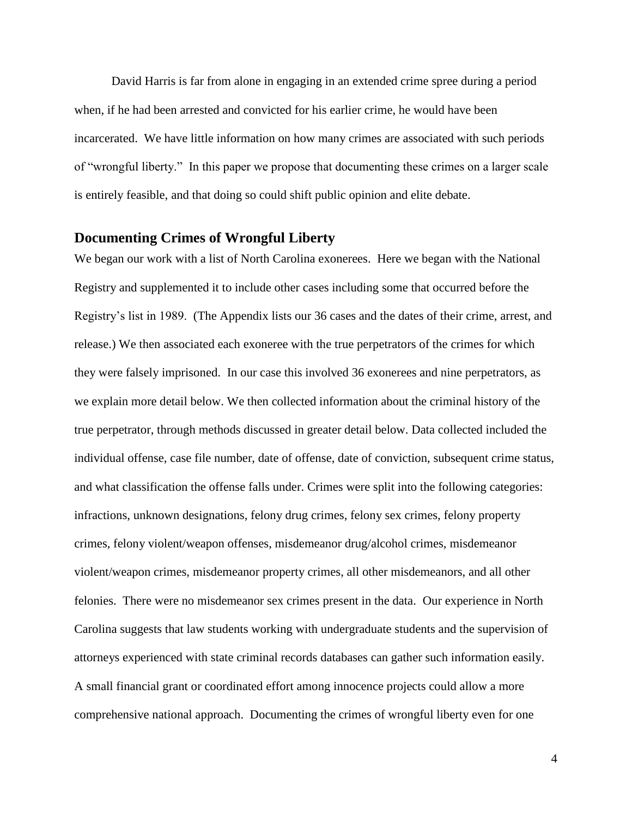David Harris is far from alone in engaging in an extended crime spree during a period when, if he had been arrested and convicted for his earlier crime, he would have been incarcerated. We have little information on how many crimes are associated with such periods of "wrongful liberty." In this paper we propose that documenting these crimes on a larger scale is entirely feasible, and that doing so could shift public opinion and elite debate.

#### **Documenting Crimes of Wrongful Liberty**

We began our work with a list of North Carolina exonerees. Here we began with the National Registry and supplemented it to include other cases including some that occurred before the Registry's list in 1989. (The Appendix lists our 36 cases and the dates of their crime, arrest, and release.) We then associated each exoneree with the true perpetrators of the crimes for which they were falsely imprisoned. In our case this involved 36 exonerees and nine perpetrators, as we explain more detail below. We then collected information about the criminal history of the true perpetrator, through methods discussed in greater detail below. Data collected included the individual offense, case file number, date of offense, date of conviction, subsequent crime status, and what classification the offense falls under. Crimes were split into the following categories: infractions, unknown designations, felony drug crimes, felony sex crimes, felony property crimes, felony violent/weapon offenses, misdemeanor drug/alcohol crimes, misdemeanor violent/weapon crimes, misdemeanor property crimes, all other misdemeanors, and all other felonies. There were no misdemeanor sex crimes present in the data. Our experience in North Carolina suggests that law students working with undergraduate students and the supervision of attorneys experienced with state criminal records databases can gather such information easily. A small financial grant or coordinated effort among innocence projects could allow a more comprehensive national approach. Documenting the crimes of wrongful liberty even for one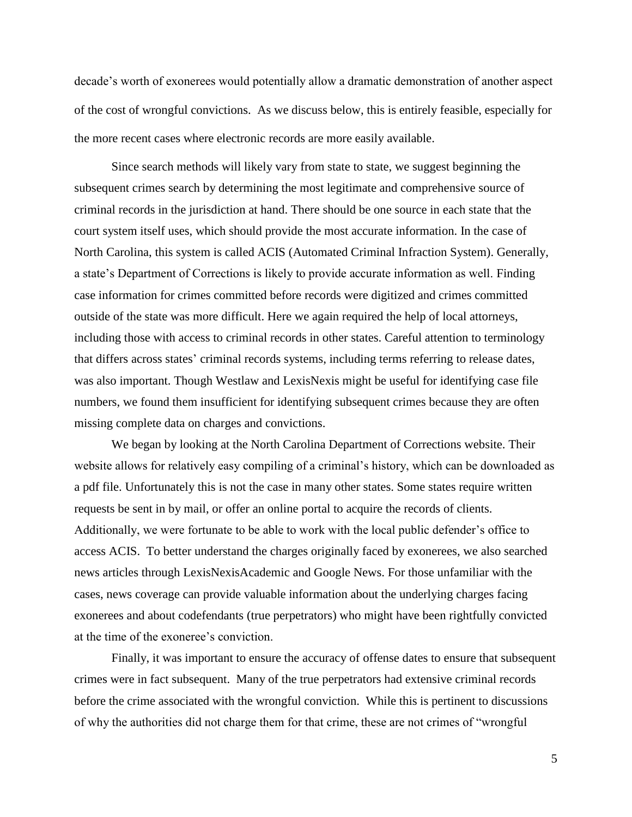decade's worth of exonerees would potentially allow a dramatic demonstration of another aspect of the cost of wrongful convictions. As we discuss below, this is entirely feasible, especially for the more recent cases where electronic records are more easily available.

Since search methods will likely vary from state to state, we suggest beginning the subsequent crimes search by determining the most legitimate and comprehensive source of criminal records in the jurisdiction at hand. There should be one source in each state that the court system itself uses, which should provide the most accurate information. In the case of North Carolina, this system is called ACIS (Automated Criminal Infraction System). Generally, a state's Department of Corrections is likely to provide accurate information as well. Finding case information for crimes committed before records were digitized and crimes committed outside of the state was more difficult. Here we again required the help of local attorneys, including those with access to criminal records in other states. Careful attention to terminology that differs across states' criminal records systems, including terms referring to release dates, was also important. Though Westlaw and LexisNexis might be useful for identifying case file numbers, we found them insufficient for identifying subsequent crimes because they are often missing complete data on charges and convictions.

We began by looking at the North Carolina Department of Corrections website. Their website allows for relatively easy compiling of a criminal's history, which can be downloaded as a pdf file. Unfortunately this is not the case in many other states. Some states require written requests be sent in by mail, or offer an online portal to acquire the records of clients. Additionally, we were fortunate to be able to work with the local public defender's office to access ACIS. To better understand the charges originally faced by exonerees, we also searched news articles through LexisNexisAcademic and Google News. For those unfamiliar with the cases, news coverage can provide valuable information about the underlying charges facing exonerees and about codefendants (true perpetrators) who might have been rightfully convicted at the time of the exoneree's conviction.

Finally, it was important to ensure the accuracy of offense dates to ensure that subsequent crimes were in fact subsequent. Many of the true perpetrators had extensive criminal records before the crime associated with the wrongful conviction. While this is pertinent to discussions of why the authorities did not charge them for that crime, these are not crimes of "wrongful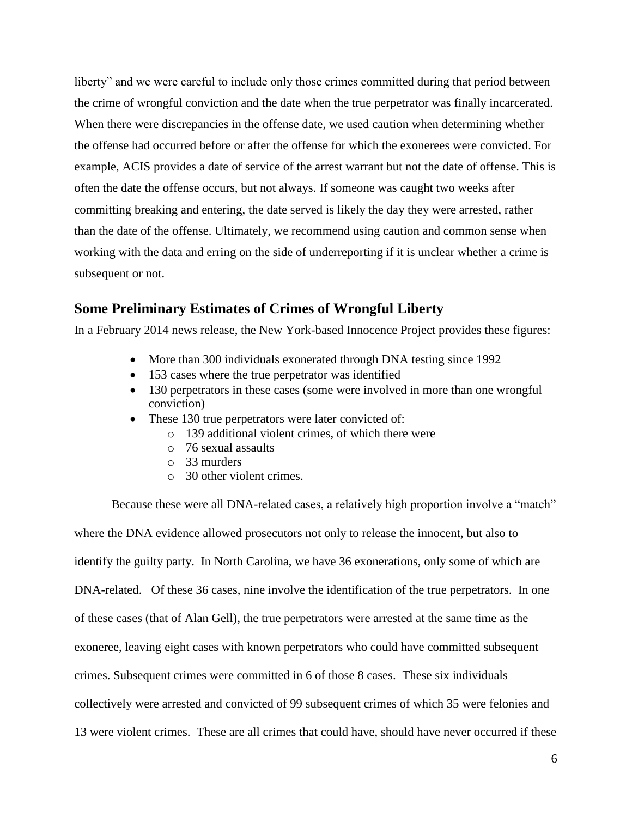liberty" and we were careful to include only those crimes committed during that period between the crime of wrongful conviction and the date when the true perpetrator was finally incarcerated. When there were discrepancies in the offense date, we used caution when determining whether the offense had occurred before or after the offense for which the exonerees were convicted. For example, ACIS provides a date of service of the arrest warrant but not the date of offense. This is often the date the offense occurs, but not always. If someone was caught two weeks after committing breaking and entering, the date served is likely the day they were arrested, rather than the date of the offense. Ultimately, we recommend using caution and common sense when working with the data and erring on the side of underreporting if it is unclear whether a crime is subsequent or not.

# **Some Preliminary Estimates of Crimes of Wrongful Liberty**

In a February 2014 news release, the New York-based Innocence Project provides these figures:

- More than 300 individuals exonerated through DNA testing since 1992
- 153 cases where the true perpetrator was identified
- 130 perpetrators in these cases (some were involved in more than one wrongful conviction)
- These 130 true perpetrators were later convicted of:
	- $\circ$  139 additional violent crimes, of which there were
	- o 76 sexual assaults
	- o 33 murders
	- o 30 other violent crimes.

Because these were all DNA-related cases, a relatively high proportion involve a "match" where the DNA evidence allowed prosecutors not only to release the innocent, but also to identify the guilty party. In North Carolina, we have 36 exonerations, only some of which are DNA-related. Of these 36 cases, nine involve the identification of the true perpetrators. In one of these cases (that of Alan Gell), the true perpetrators were arrested at the same time as the exoneree, leaving eight cases with known perpetrators who could have committed subsequent crimes. Subsequent crimes were committed in 6 of those 8 cases. These six individuals collectively were arrested and convicted of 99 subsequent crimes of which 35 were felonies and 13 were violent crimes. These are all crimes that could have, should have never occurred if these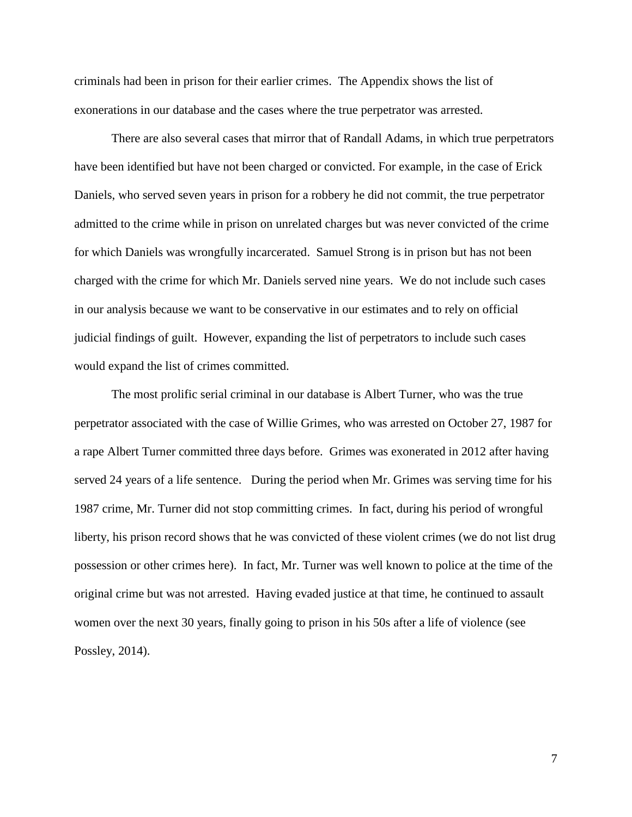criminals had been in prison for their earlier crimes. The Appendix shows the list of exonerations in our database and the cases where the true perpetrator was arrested.

There are also several cases that mirror that of Randall Adams, in which true perpetrators have been identified but have not been charged or convicted. For example, in the case of Erick Daniels, who served seven years in prison for a robbery he did not commit, the true perpetrator admitted to the crime while in prison on unrelated charges but was never convicted of the crime for which Daniels was wrongfully incarcerated. Samuel Strong is in prison but has not been charged with the crime for which Mr. Daniels served nine years. We do not include such cases in our analysis because we want to be conservative in our estimates and to rely on official judicial findings of guilt. However, expanding the list of perpetrators to include such cases would expand the list of crimes committed.

The most prolific serial criminal in our database is Albert Turner, who was the true perpetrator associated with the case of Willie Grimes, who was arrested on October 27, 1987 for a rape Albert Turner committed three days before. Grimes was exonerated in 2012 after having served 24 years of a life sentence. During the period when Mr. Grimes was serving time for his 1987 crime, Mr. Turner did not stop committing crimes. In fact, during his period of wrongful liberty, his prison record shows that he was convicted of these violent crimes (we do not list drug possession or other crimes here). In fact, Mr. Turner was well known to police at the time of the original crime but was not arrested. Having evaded justice at that time, he continued to assault women over the next 30 years, finally going to prison in his 50s after a life of violence (see Possley, 2014).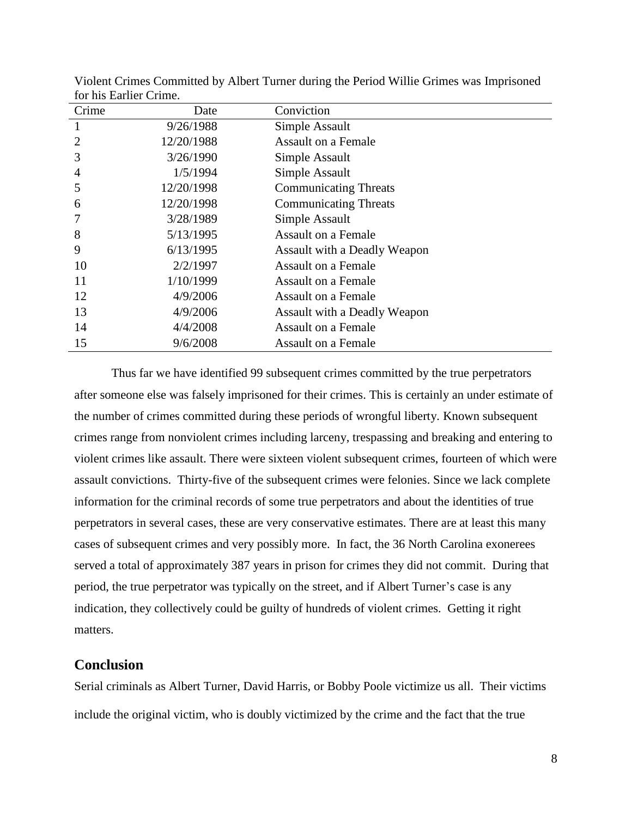| Crime          | Date       | Conviction                   |
|----------------|------------|------------------------------|
| 1              | 9/26/1988  | Simple Assault               |
| $\overline{2}$ | 12/20/1988 | <b>Assault on a Female</b>   |
| 3              | 3/26/1990  | Simple Assault               |
| 4              | 1/5/1994   | Simple Assault               |
| 5              | 12/20/1998 | <b>Communicating Threats</b> |
| 6              | 12/20/1998 | <b>Communicating Threats</b> |
|                | 3/28/1989  | Simple Assault               |
| 8              | 5/13/1995  | <b>Assault on a Female</b>   |
| 9              | 6/13/1995  | Assault with a Deadly Weapon |
| 10             | 2/2/1997   | <b>Assault on a Female</b>   |
| 11             | 1/10/1999  | Assault on a Female          |
| 12             | 4/9/2006   | <b>Assault on a Female</b>   |
| 13             | 4/9/2006   | Assault with a Deadly Weapon |
| 14             | 4/4/2008   | <b>Assault on a Female</b>   |
| 15             | 9/6/2008   | <b>Assault on a Female</b>   |

Violent Crimes Committed by Albert Turner during the Period Willie Grimes was Imprisoned for his Earlier Crime.

Thus far we have identified 99 subsequent crimes committed by the true perpetrators after someone else was falsely imprisoned for their crimes. This is certainly an under estimate of the number of crimes committed during these periods of wrongful liberty. Known subsequent crimes range from nonviolent crimes including larceny, trespassing and breaking and entering to violent crimes like assault. There were sixteen violent subsequent crimes, fourteen of which were assault convictions. Thirty-five of the subsequent crimes were felonies. Since we lack complete information for the criminal records of some true perpetrators and about the identities of true perpetrators in several cases, these are very conservative estimates. There are at least this many cases of subsequent crimes and very possibly more. In fact, the 36 North Carolina exonerees served a total of approximately 387 years in prison for crimes they did not commit. During that period, the true perpetrator was typically on the street, and if Albert Turner's case is any indication, they collectively could be guilty of hundreds of violent crimes. Getting it right matters.

### **Conclusion**

Serial criminals as Albert Turner, David Harris, or Bobby Poole victimize us all. Their victims include the original victim, who is doubly victimized by the crime and the fact that the true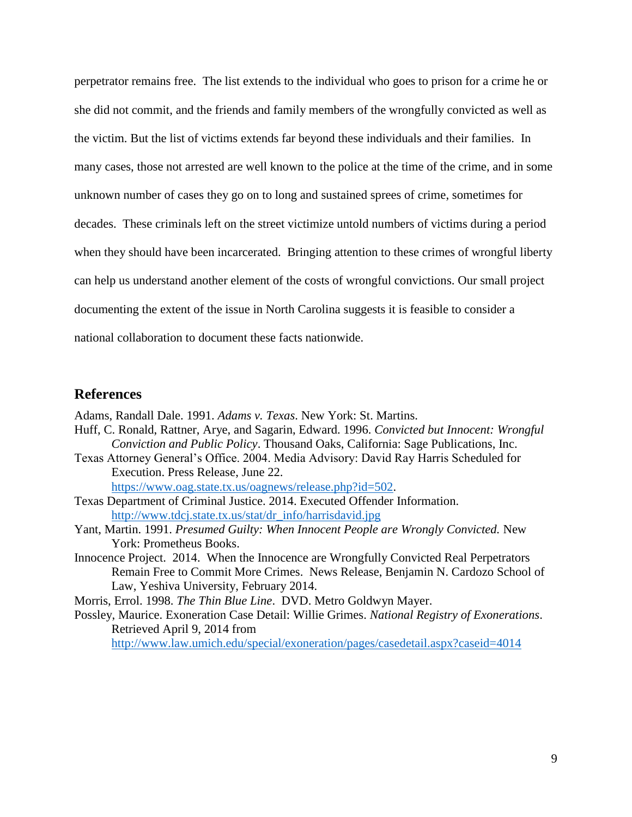perpetrator remains free. The list extends to the individual who goes to prison for a crime he or she did not commit, and the friends and family members of the wrongfully convicted as well as the victim. But the list of victims extends far beyond these individuals and their families. In many cases, those not arrested are well known to the police at the time of the crime, and in some unknown number of cases they go on to long and sustained sprees of crime, sometimes for decades. These criminals left on the street victimize untold numbers of victims during a period when they should have been incarcerated. Bringing attention to these crimes of wrongful liberty can help us understand another element of the costs of wrongful convictions. Our small project documenting the extent of the issue in North Carolina suggests it is feasible to consider a national collaboration to document these facts nationwide.

### **References**

Adams, Randall Dale. 1991. *Adams v. Texas*. New York: St. Martins.

- Huff, C. Ronald, Rattner, Arye, and Sagarin, Edward. 1996. *Convicted but Innocent: Wrongful Conviction and Public Policy*. Thousand Oaks, California: Sage Publications, Inc.
- Texas Attorney General's Office. 2004. Media Advisory: David Ray Harris Scheduled for Execution. Press Release, June 22.

[https://www.oag.state.tx.us/oagnews/release.php?id=502.](https://www.oag.state.tx.us/oagnews/release.php?id=502)

- Texas Department of Criminal Justice. 2014. Executed Offender Information. [http://www.tdcj.state.tx.us/stat/dr\\_info/harrisdavid.jpg](http://www.tdcj.state.tx.us/stat/dr_info/harrisdavid.jpg)
- Yant, Martin. 1991. *Presumed Guilty: When Innocent People are Wrongly Convicted.* New York: Prometheus Books.
- Innocence Project. 2014. When the Innocence are Wrongfully Convicted Real Perpetrators Remain Free to Commit More Crimes. News Release, Benjamin N. Cardozo School of Law, Yeshiva University, February 2014.

Morris, Errol. 1998. *The Thin Blue Line*. DVD. Metro Goldwyn Mayer.

Possley, Maurice. Exoneration Case Detail: Willie Grimes. *National Registry of Exonerations*. Retrieved April 9, 2014 from

<http://www.law.umich.edu/special/exoneration/pages/casedetail.aspx?caseid=4014>